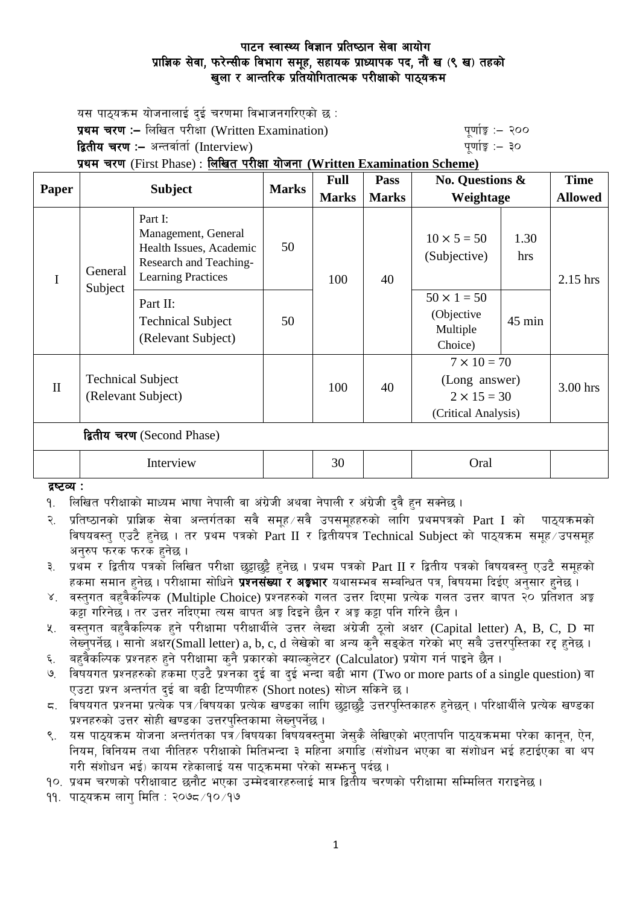# पाटन स्वास्थ्य विज्ञान प्रतिष्ठान सेवा आयोग प्राज्ञिक सेवा, फरेन्सीक विभाग समूह, सहायक प्राध्यापक पद, नौं ख (९ ख) तहको खुला र आन्तरिक प्रतियोगितात्मक परीक्षाको पाठ्यकम

**Time**

यस पाठ्यक्रम योजनालाई दुई चरणमा विभाजनगरिएको छ $\,$ : प्रथम चरण :- लिखित परीक्षा (Written Examination) x 200 पूर्णाङ्क :- २०० **द्वितीय चरण :–** अन्तर्वार्ता (Interview) kathlo-setting and the setting the setting  $\frac{1}{2}$  and  $\frac{1}{2}$ प्रथम चरण (First Phase) : लिखित परीक्षा योजना (Written Examination Scheme) **Paper Subject Marks Full**   $\overline{\mathbf{p}_{\mathbf{a}\mathbf{c}\mathbf{c}}}$ **No. Questions &** 

| Paper        | <b>Subject</b>                                 |                                                                                                                  | <b>Marks</b> | r un         | 1 аээ        | $110.$ Questions $\alpha$<br>Weightage                                           |                  | т ппе          |
|--------------|------------------------------------------------|------------------------------------------------------------------------------------------------------------------|--------------|--------------|--------------|----------------------------------------------------------------------------------|------------------|----------------|
|              |                                                |                                                                                                                  |              | <b>Marks</b> | <b>Marks</b> |                                                                                  |                  | <b>Allowed</b> |
| $\mathbf I$  | General<br>Subject                             | Part I:<br>Management, General<br>Health Issues, Academic<br>Research and Teaching-<br><b>Learning Practices</b> | 50           | 100          | 40           | $10 \times 5 = 50$<br>(Subjective)                                               | 1.30<br>hrs      | $2.15$ hrs     |
|              |                                                | Part II:<br><b>Technical Subject</b><br>(Relevant Subject)                                                       | 50           |              |              | $50 \times 1 = 50$<br>(Objective<br>Multiple<br>Choice)                          | $45 \text{ min}$ |                |
| $\mathbf{I}$ | <b>Technical Subject</b><br>(Relevant Subject) |                                                                                                                  |              | 100          | 40           | $7 \times 10 = 70$<br>(Long answer)<br>$2 \times 15 = 30$<br>(Critical Analysis) |                  | 3.00 hrs       |
|              |                                                | द्वितीय चरण (Second Phase)                                                                                       |              |              |              |                                                                                  |                  |                |
|              | Interview                                      |                                                                                                                  |              | 30           |              | Oral                                                                             |                  |                |

#### द्रष्टव्य :

- <u>9. लिखित परीक्षाको माध्यम भाषा नेपाली वा अंग्रेजी अथवा नेपाली र अंग्रेजी दवै हन सक्नेछ ।</u>
- २. प्रतिष्ठानको प्राज्ञिक सेवा अन्तर्गतका सवै समूह ∕सवै उपसमूहहरुको लागि प्रथमपत्रको Part I को पाठ्यक्रमको विषयवस्त् एउटै हुनेछ । तर प्रथम पत्रको Part II र द्वितीयपत्र Technical Subject को पाठ्यक्रम समूह उपसमूह अनरुप फरक फरक हनेछ ।
- ३. प्रथम र द्वितीय पत्रको लिखित परीक्षा छट्टाछट्टै हुनेछ । प्रथम पत्रको Part II र द्वितीय पत्रको विषयवस्तु एउटै समूहको हकमा समान हुनेछ । परीक्षामा सोधिने **प्रश्नसंख्या र अङ्गभार** यथासम्भव सम्बन्धित पत्र, विषयमा दिईए अनुसार हुनेछ ।
- ४. वस्तुगत बहुवैकस्पिक (Multiple Choice) प्रश्नहरुको गलत उत्तर दिएमा प्रत्येक गलत उत्तर बापत २० प्रतिशत अङ्क कट्टा गरिनेछ । तर उत्तर नदिएमा त्यस बापत अङ्ग दिइने छैन र अङ्ग कट्टा पनि गरिने छैन ।
- $x$ . वस्तुगत बहवैकल्पिक हने परीक्षामा परीक्षार्थीले उत्तर लेख्दा अंग्रेजी ठूलो अक्षर (Capital letter) A, B, C, D मा लेख्नुपर्नेछ। सानो अक्षर $\widetilde{\rm S}$ mall letter) a, b, c, d लेखेको वा अन्य कुनै सङ्केत गरेको भए सबै उत्तरपुस्तिका रद्द हुनेछ।
- ६. वहवैकल्पिक प्रश्नहरु हुने परीक्षामा कुनै प्रकारको क्याल्कुलेटर (Calculator) प्रयोग गर्न पाइने छैन ।
- ७. विषयगत प्रश्नहरुको हकमा एउटै प्रश्नका दुई वा दुई भन्दा बढी भाग (Two or more parts of a single question) वा एउटा प्रश्न अन्तर्गत दई वा बढी टिप्पणीहरु (Short notes) सोध्न सकिने छ।
- $\,$  s. ) विषयगत प्रश्नमा प्रत्येक पत्र /विषयका प्रत्येक खण्डका लागि छड़ाछड़ै उत्तरपस्तिकाहरु हनेछन । परिक्षार्थीले प्रत्येक खण्डका प्रश्नहरुको उत्तर सोही खण्डका उत्तरपुस्तिकामा लेख्नुपर्नेछ ।
- ९. यस पाठ्यक्रम योजना अन्तर्गतका पत्रॅं/विषयका विषयवस्तुमा जेसुकै लेखिएको भएतापनि पाठ्यक्रममा परेका कानून, ऐन, नियम, विनियम तथा नीतिहरु परीक्षाको मितिभन्दा ३ महिना अगाडि (संशोधन भएका वा संशोधन भई हटाईएका वा थप गरी संशोधन भई) कायम रहेकालाई यस पाठकममा परेको सम्फन पर्दछ ।
- <u>१</u>०. प्रथम चरणको परीक्षाबाट छनौट भएका उम्मेदवारहरुलाई मात्र द्वितीय चरणको परीक्षामा सम्मिलित गराइनेछ ।

११. पाठुयक्रम लाग मिति : २०७८ ⁄ १० ⁄ १७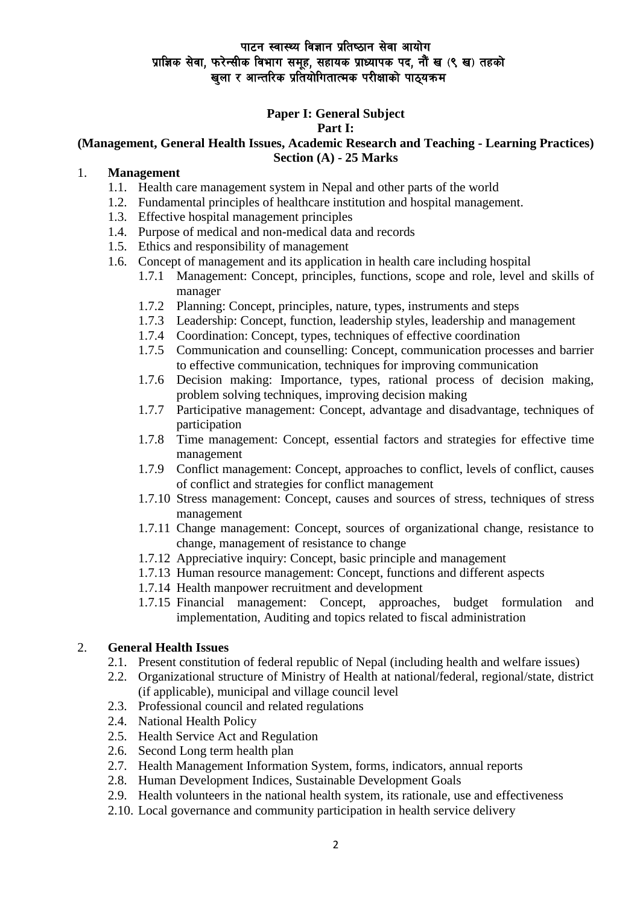# पाटन स्वास्थ्य विज्ञान प्रतिष्ठान सेवा आयोग प्राज्ञिक सेवा, फरेन्सीक विभाग समूह, सहायक प्राध्यापक पद, नौं ख (९ ख) तहको खुला र आन्तरिक प्रतियोगितात्मक परीक्षाको पाठ्यक्रम

# **Paper I: General Subject**

### **Part I:**

#### **(Management, General Health Issues, Academic Research and Teaching - Learning Practices) Section (A) - 25 Marks**

### 1. **Management**

- 1.1. Health care management system in Nepal and other parts of the world
- 1.2. Fundamental principles of healthcare institution and hospital management.
- 1.3. Effective hospital management principles
- 1.4. Purpose of medical and non-medical data and records
- 1.5. Ethics and responsibility of management
- 1.6. Concept of management and its application in health care including hospital
	- 1.7.1 Management: Concept, principles, functions, scope and role, level and skills of manager
	- 1.7.2 Planning: Concept, principles, nature, types, instruments and steps
	- 1.7.3 Leadership: Concept, function, leadership styles, leadership and management
	- 1.7.4 Coordination: Concept, types, techniques of effective coordination
	- 1.7.5 Communication and counselling: Concept, communication processes and barrier to effective communication, techniques for improving communication
	- 1.7.6 Decision making: Importance, types, rational process of decision making, problem solving techniques, improving decision making
	- 1.7.7 Participative management: Concept, advantage and disadvantage, techniques of participation
	- 1.7.8 Time management: Concept, essential factors and strategies for effective time management
	- 1.7.9 Conflict management: Concept, approaches to conflict, levels of conflict, causes of conflict and strategies for conflict management
	- 1.7.10 Stress management: Concept, causes and sources of stress, techniques of stress management
	- 1.7.11 Change management: Concept, sources of organizational change, resistance to change, management of resistance to change
	- 1.7.12 Appreciative inquiry: Concept, basic principle and management
	- 1.7.13 Human resource management: Concept, functions and different aspects
	- 1.7.14 Health manpower recruitment and development
	- 1.7.15 Financial management: Concept, approaches, budget formulation and implementation, Auditing and topics related to fiscal administration

# 2. **General Health Issues**

- 2.1. Present constitution of federal republic of Nepal (including health and welfare issues)
- 2.2. Organizational structure of Ministry of Health at national/federal, regional/state, district (if applicable), municipal and village council level
- 2.3. Professional council and related regulations
- 2.4. National Health Policy
- 2.5. Health Service Act and Regulation
- 2.6. Second Long term health plan
- 2.7. Health Management Information System, forms, indicators, annual reports
- 2.8. Human Development Indices, Sustainable Development Goals
- 2.9. Health volunteers in the national health system, its rationale, use and effectiveness
- 2.10. Local governance and community participation in health service delivery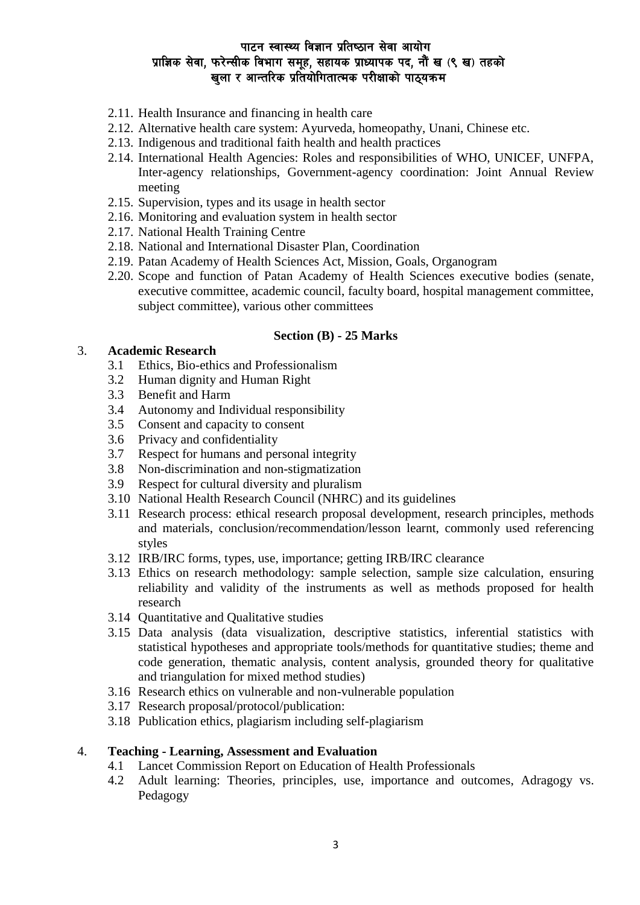# पाटन स्वास्थ्य विज्ञान प्रतिष्ठान सेवा आयोग प्राज्ञिक सेवा, फरेन्सीक विभाग समूह, सहायक प्राध्यापक पद, नौं ख (९ ख) तहको खुला र आन्तरिक प्रतियोगितात्मक परीक्षाको पाठ्यक्रम

- 2.11. Health Insurance and financing in health care
- 2.12. Alternative health care system: Ayurveda, homeopathy, Unani, Chinese etc.
- 2.13. Indigenous and traditional faith health and health practices
- 2.14. International Health Agencies: Roles and responsibilities of WHO, UNICEF, UNFPA, Inter-agency relationships, Government-agency coordination: Joint Annual Review meeting
- 2.15. Supervision, types and its usage in health sector
- 2.16. Monitoring and evaluation system in health sector
- 2.17. National Health Training Centre
- 2.18. National and International Disaster Plan, Coordination
- 2.19. Patan Academy of Health Sciences Act, Mission, Goals, Organogram
- 2.20. Scope and function of Patan Academy of Health Sciences executive bodies (senate, executive committee, academic council, faculty board, hospital management committee, subject committee), various other committees

#### **Section (B) - 25 Marks**

#### 3. **Academic Research**

- 3.1 Ethics, Bio-ethics and Professionalism
- 3.2 Human dignity and Human Right
- 3.3 Benefit and Harm
- 3.4 Autonomy and Individual responsibility
- 3.5 Consent and capacity to consent
- 3.6 Privacy and confidentiality
- 3.7 Respect for humans and personal integrity
- 3.8 Non-discrimination and non-stigmatization
- 3.9 Respect for cultural diversity and pluralism
- 3.10 National Health Research Council (NHRC) and its guidelines
- 3.11 Research process: ethical research proposal development, research principles, methods and materials, conclusion/recommendation/lesson learnt, commonly used referencing styles
- 3.12 IRB/IRC forms, types, use, importance; getting IRB/IRC clearance
- 3.13 Ethics on research methodology: sample selection, sample size calculation, ensuring reliability and validity of the instruments as well as methods proposed for health research
- 3.14 Quantitative and Qualitative studies
- 3.15 Data analysis (data visualization, descriptive statistics, inferential statistics with statistical hypotheses and appropriate tools/methods for quantitative studies; theme and code generation, thematic analysis, content analysis, grounded theory for qualitative and triangulation for mixed method studies)
- 3.16 Research ethics on vulnerable and non-vulnerable population
- 3.17 Research proposal/protocol/publication:
- 3.18 Publication ethics, plagiarism including self-plagiarism

#### 4. **Teaching - Learning, Assessment and Evaluation**

- 4.1 Lancet Commission Report on Education of Health Professionals
- 4.2 Adult learning: Theories, principles, use, importance and outcomes, Adragogy vs. Pedagogy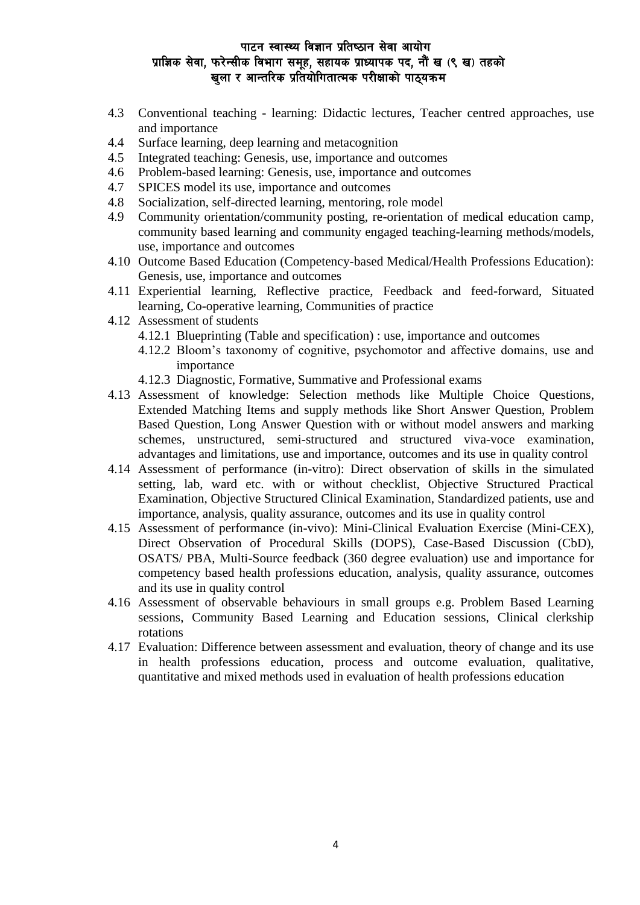# पाटन स्वास्थ्य विज्ञान प्रतिष्ठान सेवा आयोग प्राज्ञिक सेवा, फरेन्सीक विभाग समूह, सहायक प्राध्यापक पद, नौं ख (९ ख) तहको खला र आन्तरिक प्रतियोगितात्मक परीक्षाको पाठयक्रम

- 4.3 Conventional teaching learning: Didactic lectures, Teacher centred approaches, use and importance
- 4.4 Surface learning, deep learning and metacognition
- 4.5 Integrated teaching: Genesis, use, importance and outcomes
- 4.6 Problem-based learning: Genesis, use, importance and outcomes
- 4.7 SPICES model its use, importance and outcomes
- 4.8 Socialization, self-directed learning, mentoring, role model
- 4.9 Community orientation/community posting, re-orientation of medical education camp, community based learning and community engaged teaching-learning methods/models, use, importance and outcomes
- 4.10 Outcome Based Education (Competency-based Medical/Health Professions Education): Genesis, use, importance and outcomes
- 4.11 Experiential learning, Reflective practice, Feedback and feed-forward, Situated learning, Co-operative learning, Communities of practice
- 4.12 Assessment of students
	- 4.12.1 Blueprinting (Table and specification) : use, importance and outcomes
	- 4.12.2 Bloom's taxonomy of cognitive, psychomotor and affective domains, use and importance
	- 4.12.3 Diagnostic, Formative, Summative and Professional exams
- 4.13 Assessment of knowledge: Selection methods like Multiple Choice Questions, Extended Matching Items and supply methods like Short Answer Question, Problem Based Question, Long Answer Question with or without model answers and marking schemes, unstructured, semi-structured and structured viva-voce examination, advantages and limitations, use and importance, outcomes and its use in quality control
- 4.14 Assessment of performance (in-vitro): Direct observation of skills in the simulated setting, lab, ward etc. with or without checklist, Objective Structured Practical Examination, Objective Structured Clinical Examination, Standardized patients, use and importance, analysis, quality assurance, outcomes and its use in quality control
- 4.15 Assessment of performance (in-vivo): Mini-Clinical Evaluation Exercise (Mini-CEX), Direct Observation of Procedural Skills (DOPS), Case-Based Discussion (CbD), OSATS/ PBA, Multi-Source feedback (360 degree evaluation) use and importance for competency based health professions education, analysis, quality assurance, outcomes and its use in quality control
- 4.16 Assessment of observable behaviours in small groups e.g. Problem Based Learning sessions, Community Based Learning and Education sessions, Clinical clerkship rotations
- 4.17 Evaluation: Difference between assessment and evaluation, theory of change and its use in health professions education, process and outcome evaluation, qualitative, quantitative and mixed methods used in evaluation of health professions education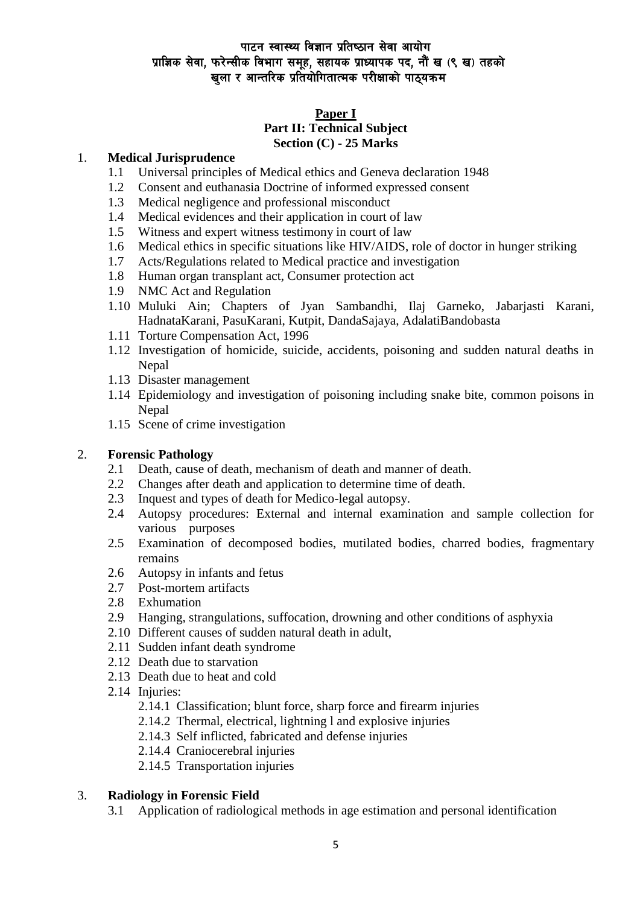# पाटन स्वास्थ्य विज्ञान प्रतिष्ठान सेवा आयोग प्राज्ञिक सेवा, फरेन्सीक विभाग समूह, सहायक प्राध्यापक पद, नौं ख (९ ख) तहको खला र आन्तरिक प्रतियोगितात्मक परीक्षाको पाठयक्रम

### **Paper I**

### **Part II: Technical Subject Section (C) - 25 Marks**

### 1. **Medical Jurisprudence**

- 1.1 Universal principles of Medical ethics and Geneva declaration 1948
- 1.2 Consent and euthanasia Doctrine of informed expressed consent
- 1.3 Medical negligence and professional misconduct
- 1.4 Medical evidences and their application in court of law
- 1.5 Witness and expert witness testimony in court of law
- 1.6 Medical ethics in specific situations like HIV/AIDS, role of doctor in hunger striking
- 1.7 Acts/Regulations related to Medical practice and investigation
- 1.8 Human organ transplant act, Consumer protection act
- 1.9 NMC Act and Regulation
- 1.10 Muluki Ain; Chapters of Jyan Sambandhi, Ilaj Garneko, Jabarjasti Karani, HadnataKarani, PasuKarani, Kutpit, DandaSajaya, AdalatiBandobasta
- 1.11 Torture Compensation Act, 1996
- 1.12 Investigation of homicide, suicide, accidents, poisoning and sudden natural deaths in Nepal
- 1.13 Disaster management
- 1.14 Epidemiology and investigation of poisoning including snake bite, common poisons in Nepal
- 1.15 Scene of crime investigation

# 2. **Forensic Pathology**

- 2.1 Death, cause of death, mechanism of death and manner of death.
- 2.2 Changes after death and application to determine time of death.
- 2.3 Inquest and types of death for Medico-legal autopsy.
- 2.4 Autopsy procedures: External and internal examination and sample collection for various purposes
- 2.5 Examination of decomposed bodies, mutilated bodies, charred bodies, fragmentary remains
- 2.6 Autopsy in infants and fetus
- 2.7 Post-mortem artifacts
- 2.8 Exhumation
- 2.9 Hanging, strangulations, suffocation, drowning and other conditions of asphyxia
- 2.10 Different causes of sudden natural death in adult,
- 2.11 Sudden infant death syndrome
- 2.12 Death due to starvation
- 2.13 Death due to heat and cold
- 2.14 Injuries:
	- 2.14.1 Classification; blunt force, sharp force and firearm injuries
	- 2.14.2 Thermal, electrical, lightning l and explosive injuries
	- 2.14.3 Self inflicted, fabricated and defense injuries
	- 2.14.4 Craniocerebral injuries
	- 2.14.5 Transportation injuries

# 3. **Radiology in Forensic Field**

3.1 Application of radiological methods in age estimation and personal identification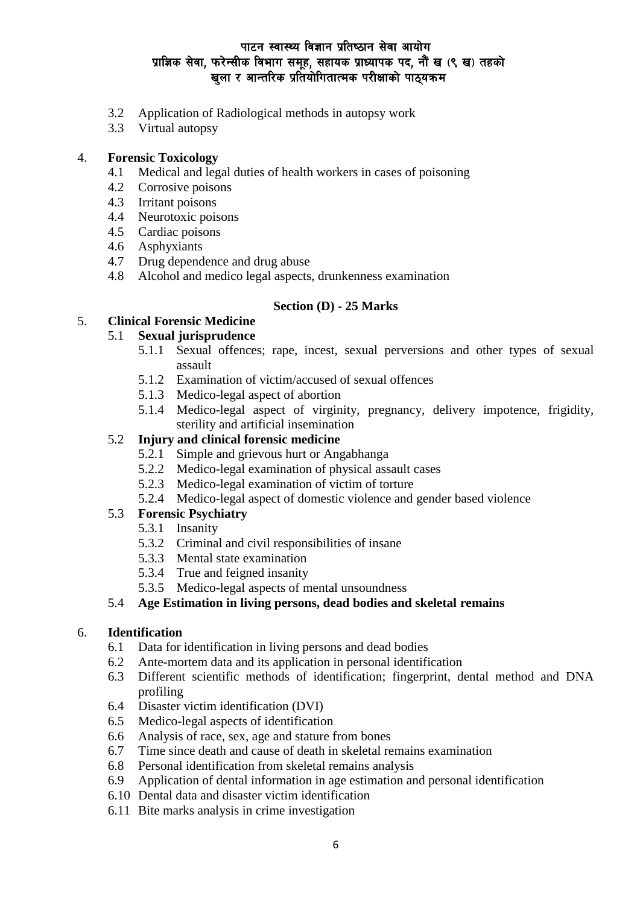# पाटन स्वास्थ्य विज्ञान प्रतिष्ठान सेवा आयोग प्राज्ञिक सेवा, फरेन्सीक विभाग समूह, सहायक प्राध्यापक पद, नौं ख (९ ख) तहको खला र आन्तरिक प्रतियोगितात्मक परीक्षाको पाठ्यक्रम

- 3.2 Application of Radiological methods in autopsy work
- 3.3 Virtual autopsy

#### 4. **Forensic Toxicology**

- 4.1 Medical and legal duties of health workers in cases of poisoning
- 4.2 Corrosive poisons
- 4.3 Irritant poisons
- 4.4 Neurotoxic poisons
- 4.5 Cardiac poisons
- 4.6 Asphyxiants
- 4.7 Drug dependence and drug abuse
- 4.8 Alcohol and medico legal aspects, drunkenness examination

# **Section (D) - 25 Marks**

# 5. **Clinical Forensic Medicine**

# 5.1 **Sexual jurisprudence**

- 5.1.1 Sexual offences; rape, incest, sexual perversions and other types of sexual assault
- 5.1.2 Examination of victim/accused of sexual offences
- 5.1.3 Medico-legal aspect of abortion
- 5.1.4 Medico-legal aspect of virginity, pregnancy, delivery impotence, frigidity, sterility and artificial insemination

# 5.2 **Injury and clinical forensic medicine**

- 5.2.1 Simple and grievous hurt or Angabhanga
- 5.2.2 Medico-legal examination of physical assault cases
- 5.2.3 Medico-legal examination of victim of torture
- 5.2.4 Medico-legal aspect of domestic violence and gender based violence

### 5.3 **Forensic Psychiatry**

- 5.3.1 Insanity
- 5.3.2 Criminal and civil responsibilities of insane
- 5.3.3 Mental state examination
- 5.3.4 True and feigned insanity
- 5.3.5 Medico-legal aspects of mental unsoundness

#### 5.4 **Age Estimation in living persons, dead bodies and skeletal remains**

#### 6. **Identification**

- 6.1 Data for identification in living persons and dead bodies
- 6.2 Ante-mortem data and its application in personal identification
- 6.3 Different scientific methods of identification; fingerprint, dental method and DNA profiling
- 6.4 Disaster victim identification (DVI)
- 6.5 Medico-legal aspects of identification
- 6.6 Analysis of race, sex, age and stature from bones
- 6.7 Time since death and cause of death in skeletal remains examination
- 6.8 Personal identification from skeletal remains analysis
- 6.9 Application of dental information in age estimation and personal identification
- 6.10 Dental data and disaster victim identification
- 6.11 Bite marks analysis in crime investigation